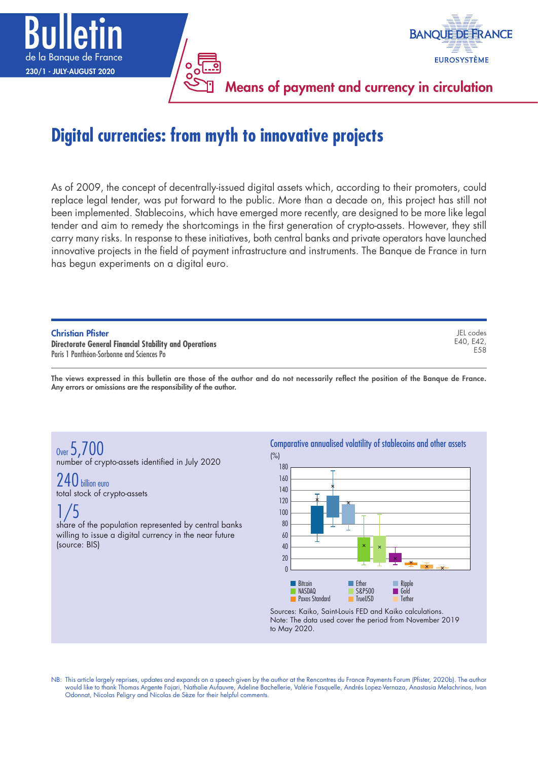

# **Digital currencies: from myth to innovative projects**

As of 2009, the concept of decentrally-issued digital assets which, according to their promoters, could replace legal tender, was put forward to the public. More than a decade on, this project has still not been implemented. Stablecoins, which have emerged more recently, are designed to be more like legal tender and aim to remedy the shortcomings in the first generation of crypto-assets. However, they still carry many risks. In response to these initiatives, both central banks and private operators have launched innovative projects in the field of payment infrastructure and instruments. The Banque de France in turn has begun experiments on a digital euro.

|  | <b>Christian Pfister</b> |  |
|--|--------------------------|--|
|  |                          |  |

**Directorate General Financial Stability and Operations** Paris 1 Panthéon-Sorbonne and Sciences Po

The views expressed in this bulletin are those of the author and do not necessarily reflect the position of the Banque de France. Any errors or omissions are the responsibility of the author.

Over 5, 700 number of crypto-assets identified in July 2020

 $240$  hillion euro total stock of crypto-assets

1/5 share of the population represented by central banks willing to issue a digital currency in the near future (source: BIS)

Comparative annualised volatility of stablecoins and other assets

JEL codes E40, E42, E58



Sources: Kaiko, Saint-Louis FED and Kaiko calculations. Note: The data used cover the period from November 2019 to May 2020.

NB: This article largely reprises, updates and expands on a speech given by the author at the Rencontres du France Payments Forum (Pfister, 2020b). The author would like to thank Thomas Argente Fajari, Nathalie Aufauvre, Adeline Bachellerie, Valérie Fasquelle, Andrés Lopez-Vernaza, Anastasia Melachrinos, Ivan Odonnat, Nicolas Peligry and Nicolas de Sèze for their helpful comments.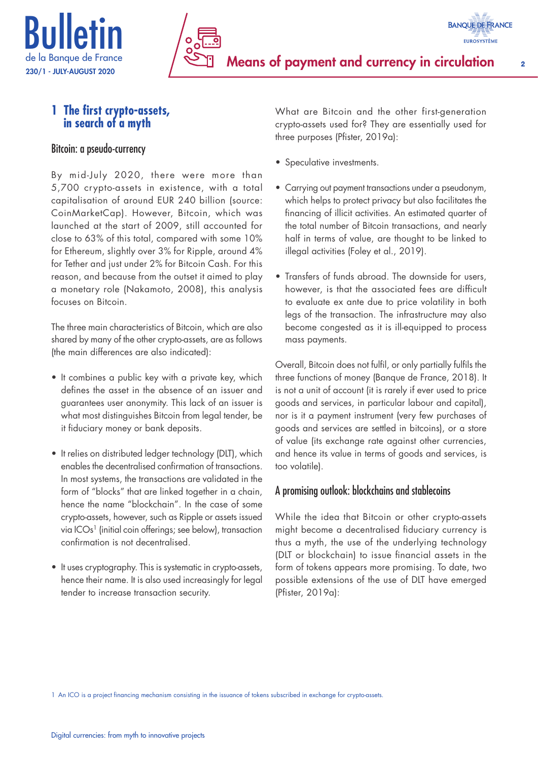



# **1 The first crypto‑assets, in search of a myth**

#### Bitcoin: a pseudo-currency

By mid-July 2020, there were more than 5,700 crypto-assets in existence, with a total capitalisation of around EUR 240 billion (source: CoinMarketCap). However, Bitcoin, which was launched at the start of 2009, still accounted for close to 63% of this total, compared with some 10% for Ethereum, slightly over 3% for Ripple, around 4% for Tether and just under 2% for Bitcoin Cash. For this reason, and because from the outset it aimed to play a monetary role (Nakamoto, 2008), this analysis focuses on Bitcoin.

The three main characteristics of Bitcoin, which are also shared by many of the other crypto-assets, are as follows (the main differences are also indicated):

- It combines a public key with a private key, which defines the asset in the absence of an issuer and guarantees user anonymity. This lack of an issuer is what most distinguishes Bitcoin from legal tender, be it fiduciary money or bank deposits.
- It relies on distributed ledger technology (DLT), which enables the decentralised confirmation of transactions. In most systems, the transactions are validated in the form of "blocks" that are linked together in a chain, hence the name "blockchain". In the case of some crypto-assets, however, such as Ripple or assets issued via ICOs<sup>1</sup> (initial coin offerings; see below), transaction confirmation is not decentralised.
- It uses cryptography. This is systematic in crypto-assets, hence their name. It is also used increasingly for legal tender to increase transaction security.

What are Bitcoin and the other first-generation crypto-assets used for? They are essentially used for three purposes (Pfister, 2019a):

- Speculative investments.
- Carrying out payment transactions under a pseudonym, which helps to protect privacy but also facilitates the financing of illicit activities. An estimated quarter of the total number of Bitcoin transactions, and nearly half in terms of value, are thought to be linked to illegal activities (Foley et al., 2019).
- Transfers of funds abroad. The downside for users, however, is that the associated fees are difficult to evaluate ex ante due to price volatility in both legs of the transaction. The infrastructure may also become congested as it is ill-equipped to process mass payments.

Overall, Bitcoin does not fulfil, or only partially fulfils the three functions of money (Banque de France, 2018). It is not a unit of account (it is rarely if ever used to price goods and services, in particular labour and capital), nor is it a payment instrument (very few purchases of goods and services are settled in bitcoins), or a store of value (its exchange rate against other currencies, and hence its value in terms of goods and services, is too volatile).

# A promising outlook: blockchains and stablecoins

While the idea that Bitcoin or other crypto-assets might become a decentralised fiduciary currency is thus a myth, the use of the underlying technology (DLT or blockchain) to issue financial assets in the form of tokens appears more promising. To date, two possible extensions of the use of DLT have emerged (Pfister, 2019a):

1 An ICO is a project financing mechanism consisting in the issuance of tokens subscribed in exchange for crypto-assets.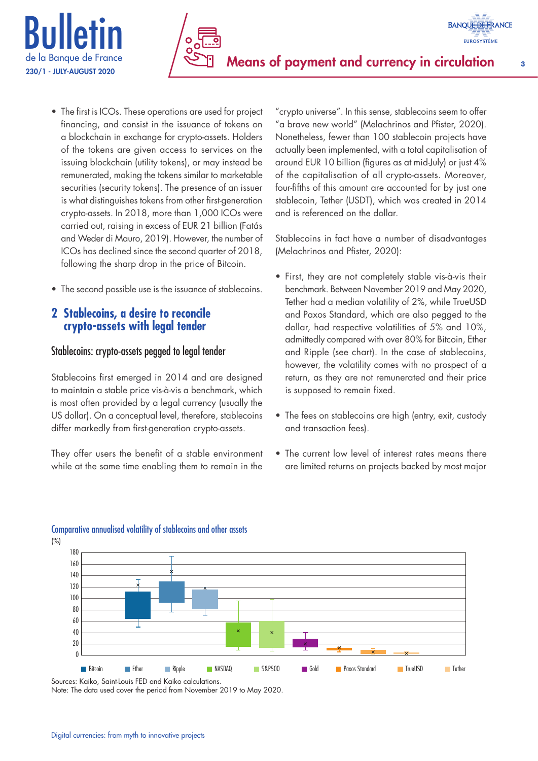

- The first is ICOs. These operations are used for project financing, and consist in the issuance of tokens on a blockchain in exchange for crypto-assets. Holders of the tokens are given access to services on the issuing blockchain (utility tokens), or may instead be remunerated, making the tokens similar to marketable securities (security tokens). The presence of an issuer is what distinguishes tokens from other first-generation crypto-assets. In 2018, more than 1,000 ICOs were carried out, raising in excess of EUR 21 billion (Fatás and Weder di Mauro, 2019). However, the number of ICOs has declined since the second quarter of 2018, following the sharp drop in the price of Bitcoin.
- The second possible use is the issuance of stablecoins.

# **2 Stablecoins, a desire to reconcile crypto‑assets with legal tender**

## Stablecoins: crypto-assets pegged to legal tender

Stablecoins first emerged in 2014 and are designed to maintain a stable price vis-à-vis a benchmark, which is most often provided by a legal currency (usually the US dollar). On a conceptual level, therefore, stablecoins differ markedly from first-generation crypto-assets.

They offer users the benefit of a stable environment while at the same time enabling them to remain in the

"crypto universe". In this sense, stablecoins seem to offer "a brave new world" (Melachrinos and Pfister, 2020). Nonetheless, fewer than 100 stablecoin projects have actually been implemented, with a total capitalisation of around EUR 10 billion (figures as at mid-July) or just 4% of the capitalisation of all crypto-assets. Moreover, four-fifths of this amount are accounted for by just one stablecoin, Tether (USDT), which was created in 2014 and is referenced on the dollar.

Stablecoins in fact have a number of disadvantages (Melachrinos and Pfister, 2020):

- First, they are not completely stable vis-à-vis their benchmark. Between November 2019 and May 2020, Tether had a median volatility of 2%, while TrueUSD and Paxos Standard, which are also pegged to the dollar, had respective volatilities of 5% and 10%, admittedly compared with over 80% for Bitcoin, Ether and Ripple (see chart). In the case of stablecoins, however, the volatility comes with no prospect of a return, as they are not remunerated and their price is supposed to remain fixed.
- The fees on stablecoins are high (entry, exit, custody and transaction fees).
- The current low level of interest rates means there are limited returns on projects backed by most major



# Comparative annualised volatility of stablecoins and other assets

(%)

Sources: Kaiko, Saint-Louis FED and Kaiko calculations. Note: The data used cover the period from November 2019 to May 2020.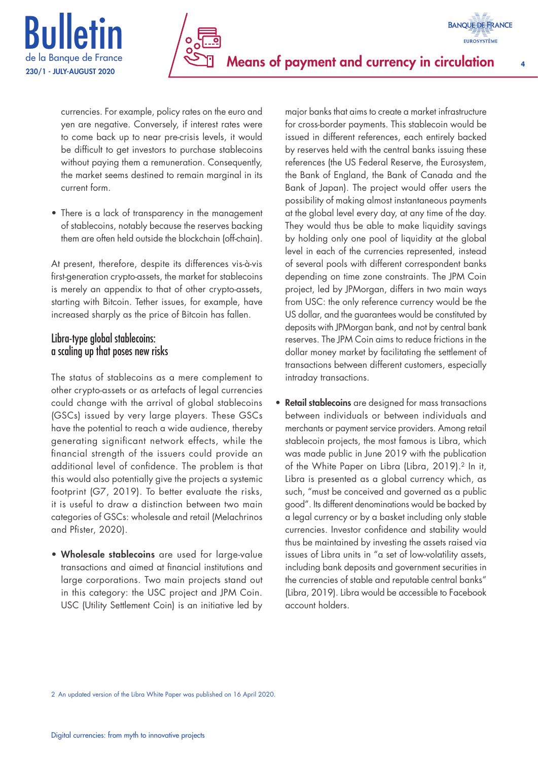



currencies. For example, policy rates on the euro and yen are negative. Conversely, if interest rates were to come back up to near pre-crisis levels, it would be difficult to get investors to purchase stablecoins without paying them a remuneration. Consequently, the market seems destined to remain marginal in its current form.

• There is a lack of transparency in the management of stablecoins, notably because the reserves backing them are often held outside the blockchain (off-chain).

At present, therefore, despite its differences vis-à-vis first-generation crypto-assets, the market for stablecoins is merely an appendix to that of other crypto-assets, starting with Bitcoin. Tether issues, for example, have increased sharply as the price of Bitcoin has fallen.

## Libra-type global stablecoins: a scaling up that poses new risks

The status of stablecoins as a mere complement to other crypto-assets or as artefacts of legal currencies could change with the arrival of global stablecoins (GSCs) issued by very large players. These GSCs have the potential to reach a wide audience, thereby generating significant network effects, while the financial strength of the issuers could provide an additional level of confidence. The problem is that this would also potentially give the projects a systemic footprint (G7, 2019). To better evaluate the risks, it is useful to draw a distinction between two main categories of GSCs: wholesale and retail (Melachrinos and Pfister, 2020).

• Wholesale stablecoins are used for large-value transactions and aimed at financial institutions and large corporations. Two main projects stand out in this category: the USC project and JPM Coin. USC (Utility Settlement Coin) is an initiative led by major banks that aims to create a market infrastructure for cross-border payments. This stablecoin would be issued in different references, each entirely backed by reserves held with the central banks issuing these references (the US Federal Reserve, the Eurosystem, the Bank of England, the Bank of Canada and the Bank of Japan). The project would offer users the possibility of making almost instantaneous payments at the global level every day, at any time of the day. They would thus be able to make liquidity savings by holding only one pool of liquidity at the global level in each of the currencies represented, instead of several pools with different correspondent banks depending on time zone constraints. The JPM Coin project, led by JPMorgan, differs in two main ways from USC: the only reference currency would be the US dollar, and the guarantees would be constituted by deposits with JPMorgan bank, and not by central bank reserves. The JPM Coin aims to reduce frictions in the dollar money market by facilitating the settlement of transactions between different customers, especially intraday transactions.

• Retail stablecoins are designed for mass transactions between individuals or between individuals and merchants or payment service providers. Among retail stablecoin projects, the most famous is Libra, which was made public in June 2019 with the publication of the White Paper on Libra (Libra, 2019).<sup>2</sup> In it, Libra is presented as a global currency which, as such, "must be conceived and governed as a public good". Its different denominations would be backed by a legal currency or by a basket including only stable currencies. Investor confidence and stability would thus be maintained by investing the assets raised via issues of Libra units in "a set of low-volatility assets, including bank deposits and government securities in the currencies of stable and reputable central banks" (Libra, 2019). Libra would be accessible to Facebook account holders.

2 An updated version of the Libra White Paper was published on 16 April 2020.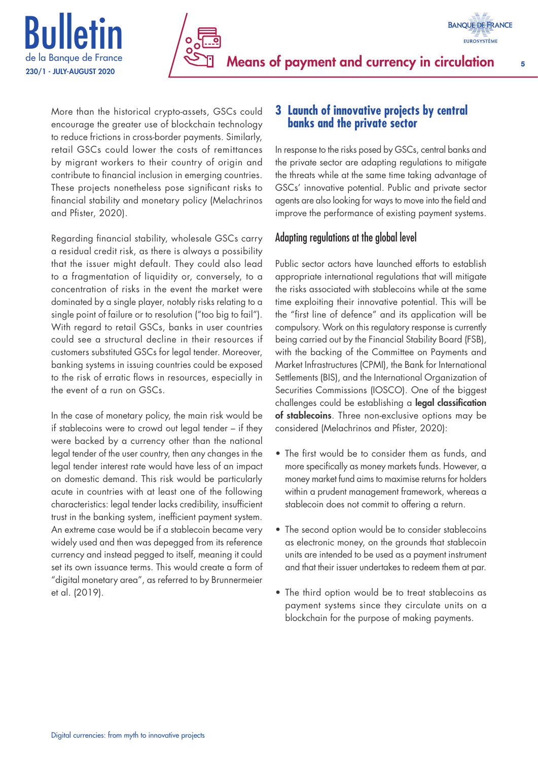



More than the historical crypto-assets, GSCs could encourage the greater use of blockchain technology to reduce frictions in cross-border payments. Similarly, retail GSCs could lower the costs of remittances by migrant workers to their country of origin and contribute to financial inclusion in emerging countries. These projects nonetheless pose significant risks to financial stability and monetary policy (Melachrinos and Pfister, 2020).

Regarding financial stability, wholesale GSCs carry a residual credit risk, as there is always a possibility that the issuer might default. They could also lead to a fragmentation of liquidity or, conversely, to a concentration of risks in the event the market were dominated by a single player, notably risks relating to a single point of failure or to resolution ("too big to fail"). With regard to retail GSCs, banks in user countries could see a structural decline in their resources if customers substituted GSCs for legal tender. Moreover, banking systems in issuing countries could be exposed to the risk of erratic flows in resources, especially in the event of a run on GSCs.

In the case of monetary policy, the main risk would be if stablecoins were to crowd out legal tender – if they were backed by a currency other than the national legal tender of the user country, then any changes in the legal tender interest rate would have less of an impact on domestic demand. This risk would be particularly acute in countries with at least one of the following characteristics: legal tender lacks credibility, insufficient trust in the banking system, inefficient payment system. An extreme case would be if a stablecoin became very widely used and then was depegged from its reference currency and instead pegged to itself, meaning it could set its own issuance terms. This would create a form of "digital monetary area", as referred to by Brunnermeier et al. (2019).

# **3 Launch of innovative projects by central banks and the private sector**

In response to the risks posed by GSCs, central banks and the private sector are adapting regulations to mitigate the threats while at the same time taking advantage of GSCs' innovative potential. Public and private sector agents are also looking for ways to move into the field and improve the performance of existing payment systems.

# Adapting regulations at the global level

Public sector actors have launched efforts to establish appropriate international regulations that will mitigate the risks associated with stablecoins while at the same time exploiting their innovative potential. This will be the "first line of defence" and its application will be compulsory. Work on this regulatory response is currently being carried out by the Financial Stability Board (FSB), with the backing of the Committee on Payments and Market Infrastructures (CPMI), the Bank for International Settlements (BIS), and the International Organization of Securities Commissions (IOSCO). One of the biggest challenges could be establishing a legal classification of stablecoins. Three non-exclusive options may be considered (Melachrinos and Pfister, 2020):

- The first would be to consider them as funds, and more specifically as money markets funds. However, a money market fund aims to maximise returns for holders within a prudent management framework, whereas a stablecoin does not commit to offering a return.
- The second option would be to consider stablecoins as electronic money, on the grounds that stablecoin units are intended to be used as a payment instrument and that their issuer undertakes to redeem them at par.
- The third option would be to treat stablecoins as payment systems since they circulate units on a blockchain for the purpose of making payments.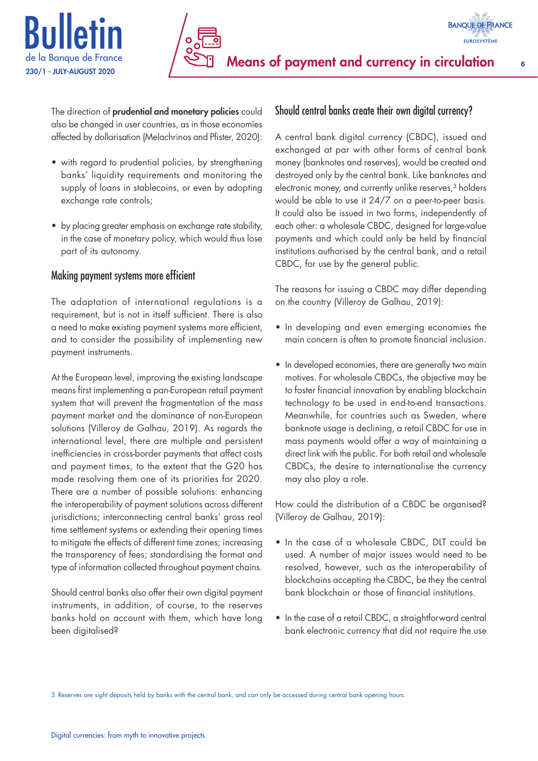



The direction of prudential and monetary policies could also be changed in user countries, as in those economies affected by dollarisation (Melachrinos and Pfister, 2020):

- with regard to prudential policies, by strengthening banks' liquidity requirements and monitoring the supply of loans in stablecoins, or even by adopting exchange rate controls;
- by placing greater emphasis on exchange rate stability, in the case of monetary policy, which would thus lose part of its autonomy.

# Making payment systems more efficient

The adaptation of international regulations is a requirement, but is not in itself sufficient. There is also a need to make existing payment systems more efficient, and to consider the possibility of implementing new payment instruments.

At the European level, improving the existing landscape means first implementing a pan-European retail payment system that will prevent the fragmentation of the mass payment market and the dominance of non-European solutions (Villeroy de Galhau, 2019). As regards the international level, there are multiple and persistent inefficiencies in cross-border payments that affect costs and payment times, to the extent that the G20 has made resolving them one of its priorities for 2020. There are a number of possible solutions: enhancing the interoperability of payment solutions across different jurisdictions; interconnecting central banks' gross real time settlement systems or extending their opening times to mitigate the effects of different time zones; increasing the transparency of fees; standardising the format and type of information collected throughout payment chains.

Should central banks also offer their own digital payment instruments, in addition, of course, to the reserves banks hold on account with them, which have long been digitalised?

# Should central banks create their own digital currency?

A central bank digital currency (CBDC), issued and exchanged at par with other forms of central bank money (banknotes and reserves), would be created and destroyed only by the central bank. Like banknotes and electronic money, and currently unlike reserves,<sup>3</sup> holders would be able to use it 24/7 on a peer-to-peer basis. It could also be issued in two forms, independently of each other: a wholesale CBDC, designed for large-value payments and which could only be held by financial institutions authorised by the central bank, and a retail CBDC, for use by the general public.

The reasons for issuing a CBDC may differ depending on the country (Villeroy de Galhau, 2019):

- In developing and even emerging economies the main concern is often to promote financial inclusion.
- In developed economies, there are generally two main motives. For wholesale CBDCs, the objective may be to foster financial innovation by enabling blockchain technology to be used in end-to-end transactions. Meanwhile, for countries such as Sweden, where banknote usage is declining, a retail CBDC for use in mass payments would offer a way of maintaining a direct link with the public. For both retail and wholesale CBDCs, the desire to internationalise the currency may also play a role.

How could the distribution of a CBDC be organised? (Villeroy de Galhau, 2019):

- In the case of a wholesale CBDC, DLT could be used. A number of major issues would need to be resolved, however, such as the interoperability of blockchains accepting the CBDC, be they the central bank blockchain or those of financial institutions.
- In the case of a retail CBDC, a straightforward central bank electronic currency that did not require the use

3 Reserves are sight deposits held by banks with the central bank, and can only be accessed during central bank opening hours.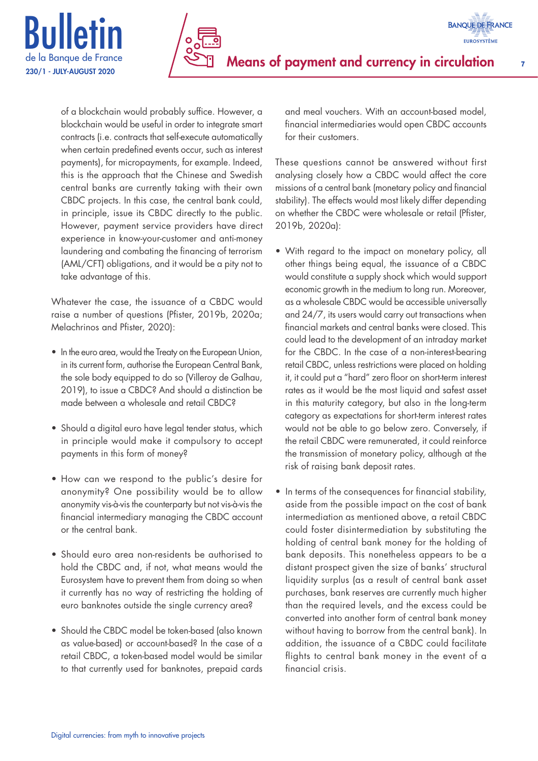



of a blockchain would probably suffice. However, a blockchain would be useful in order to integrate smart contracts (i.e. contracts that self-execute automatically when certain predefined events occur, such as interest payments), for micropayments, for example. Indeed, this is the approach that the Chinese and Swedish central banks are currently taking with their own CBDC projects. In this case, the central bank could, in principle, issue its CBDC directly to the public. However, payment service providers have direct experience in know-your-customer and anti-money laundering and combating the financing of terrorism (AML/CFT) obligations, and it would be a pity not to take advantage of this.

Whatever the case, the issuance of a CBDC would raise a number of questions (Pfister, 2019b, 2020a; Melachrinos and Pfister, 2020):

- In the euro area, would the Treaty on the European Union, in its current form, authorise the European Central Bank, the sole body equipped to do so (Villeroy de Galhau, 2019), to issue a CBDC? And should a distinction be made between a wholesale and retail CBDC?
- Should a digital euro have legal tender status, which in principle would make it compulsory to accept payments in this form of money?
- How can we respond to the public's desire for anonymity? One possibility would be to allow anonymity vis-à-vis the counterparty but not vis-à-vis the financial intermediary managing the CBDC account or the central bank.
- Should euro area non-residents be authorised to hold the CBDC and, if not, what means would the Eurosystem have to prevent them from doing so when it currently has no way of restricting the holding of euro banknotes outside the single currency area?
- Should the CBDC model be token-based (also known as value-based) or account-based? In the case of a retail CBDC, a token-based model would be similar to that currently used for banknotes, prepaid cards

and meal vouchers. With an account-based model, financial intermediaries would open CBDC accounts for their customers.

These questions cannot be answered without first analysing closely how a CBDC would affect the core missions of a central bank (monetary policy and financial stability). The effects would most likely differ depending on whether the CBDC were wholesale or retail (Pfister, 2019b, 2020a):

- With regard to the impact on monetary policy, all other things being equal, the issuance of a CBDC would constitute a supply shock which would support economic growth in the medium to long run. Moreover, as a wholesale CBDC would be accessible universally and 24/7, its users would carry out transactions when financial markets and central banks were closed. This could lead to the development of an intraday market for the CBDC. In the case of a non-interest-bearing retail CBDC, unless restrictions were placed on holding it, it could put a "hard" zero floor on short-term interest rates as it would be the most liquid and safest asset in this maturity category, but also in the long-term category as expectations for short-term interest rates would not be able to go below zero. Conversely, if the retail CBDC were remunerated, it could reinforce the transmission of monetary policy, although at the risk of raising bank deposit rates.
- In terms of the consequences for financial stability, aside from the possible impact on the cost of bank intermediation as mentioned above, a retail CBDC could foster disintermediation by substituting the holding of central bank money for the holding of bank deposits. This nonetheless appears to be a distant prospect given the size of banks' structural liquidity surplus (as a result of central bank asset purchases, bank reserves are currently much higher than the required levels, and the excess could be converted into another form of central bank money without having to borrow from the central bank). In addition, the issuance of a CBDC could facilitate flights to central bank money in the event of a financial crisis.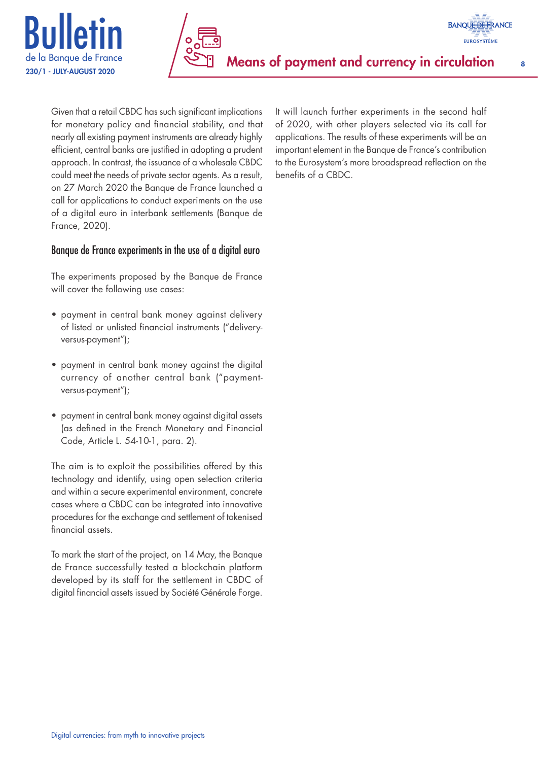



Given that a retail CBDC has such significant implications for monetary policy and financial stability, and that nearly all existing payment instruments are already highly efficient, central banks are justified in adopting a prudent approach. In contrast, the issuance of a wholesale CBDC could meet the needs of private sector agents. As a result, on 27 March 2020 the Banque de France launched a call for applications to conduct experiments on the use of a digital euro in interbank settlements (Banque de France, 2020).

# Banque de France experiments in the use of a digital euro

The experiments proposed by the Banque de France will cover the following use cases:

- payment in central bank money against delivery of listed or unlisted financial instruments ("deliveryversus-payment");
- payment in central bank money against the digital currency of another central bank ("paymentversus-payment");
- payment in central bank money against digital assets (as defined in the French Monetary and Financial Code, Article L. 54-10-1, para. 2).

The aim is to exploit the possibilities offered by this technology and identify, using open selection criteria and within a secure experimental environment, concrete cases where a CBDC can be integrated into innovative procedures for the exchange and settlement of tokenised financial assets.

To mark the start of the project, on 14 May, the Banque de France successfully tested a blockchain platform developed by its staff for the settlement in CBDC of digital financial assets issued by Société Générale Forge.

It will launch further experiments in the second half of 2020, with other players selected via its call for applications. The results of these experiments will be an important element in the Banque de France's contribution to the Eurosystem's more broadspread reflection on the benefits of a CBDC.